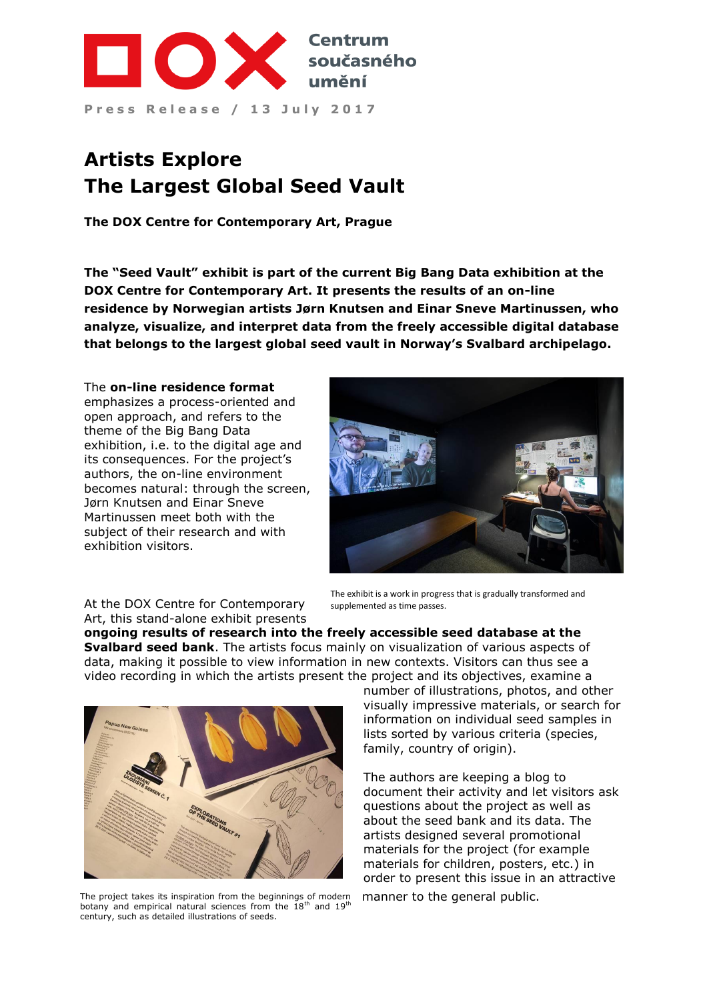

# **Artists Explore The Largest Global Seed Vault**

**The DOX Centre for Contemporary Art, Prague**

**The "Seed Vault" exhibit is part of the current Big Bang Data exhibition at the DOX Centre for Contemporary Art. It presents the results of an on-line residence by Norwegian artists Jørn Knutsen and Einar Sneve Martinussen, who analyze, visualize, and interpret data from the freely accessible digital database that belongs to the largest global seed vault in Norway's Svalbard archipelago.**

#### The **on-line residence format**

emphasizes a process-oriented and open approach, and refers to the theme of the Big Bang Data exhibition, i.e. to the digital age and its consequences. For the project's authors, the on-line environment becomes natural: through the screen, Jørn Knutsen and Einar Sneve Martinussen meet both with the subject of their research and with exhibition visitors.



At the DOX Centre for Contemporary Art, this stand-alone exhibit presents

The exhibit is a work in progress that is gradually transformed and supplemented as time passes.

**ongoing results of research into the freely accessible seed database at the Svalbard seed bank**. The artists focus mainly on visualization of various aspects of data, making it possible to view information in new contexts. Visitors can thus see a video recording in which the artists present the project and its objectives, examine a



The project takes its inspiration from the beginnings of modern botany and empirical natural sciences from the  $18<sup>th</sup>$  and  $19<sup>th</sup>$ century, such as detailed illustrations of seeds.

number of illustrations, photos, and other visually impressive materials, or search for information on individual seed samples in lists sorted by various criteria (species, family, country of origin).

The authors are keeping a blog to document their activity and let visitors ask questions about the project as well as about the seed bank and its data. The artists designed several promotional materials for the project (for example materials for children, posters, etc.) in order to present this issue in an attractive manner to the general public.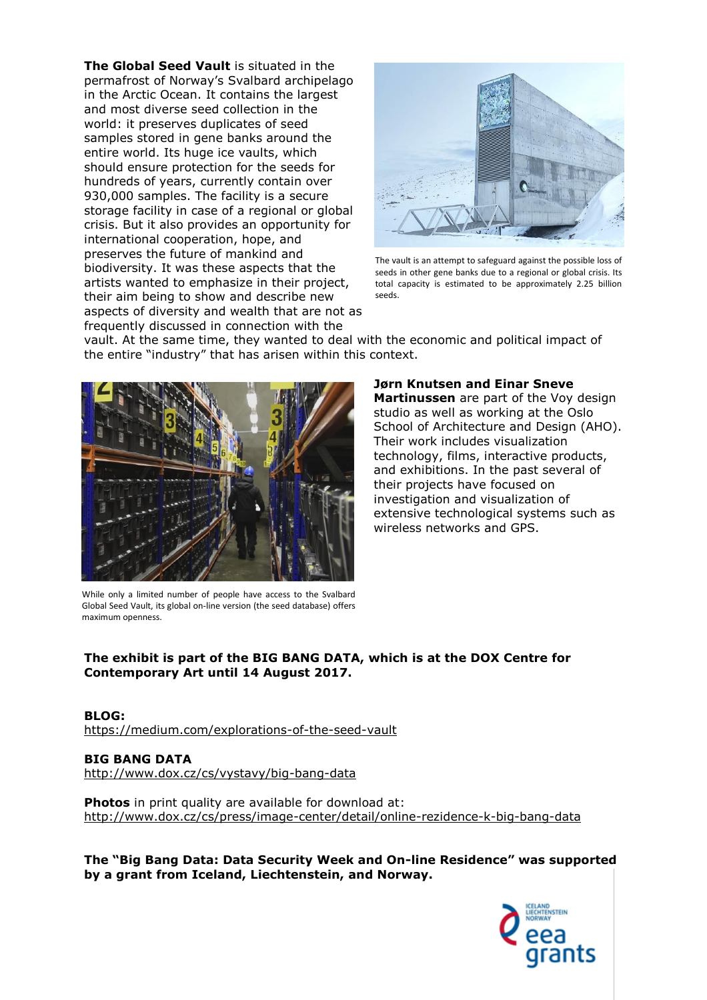**The Global Seed Vault** is situated in the permafrost of Norway's Svalbard archipelago in the Arctic Ocean. It contains the largest and most diverse seed collection in the world: it preserves duplicates of seed samples stored in gene banks around the entire world. Its huge ice vaults, which should ensure protection for the seeds for hundreds of years, currently contain over 930,000 samples. The facility is a secure storage facility in case of a regional or global crisis. But it also provides an opportunity for international cooperation, hope, and preserves the future of mankind and biodiversity. It was these aspects that the artists wanted to emphasize in their project, their aim being to show and describe new aspects of diversity and wealth that are not as frequently discussed in connection with the



The vault is an attempt to safeguard against the possible loss of seeds in other gene banks due to a regional or global crisis. Its total capacity is estimated to be approximately 2.25 billion seeds.

vault. At the same time, they wanted to deal with the economic and political impact of the entire "industry" that has arisen within this context.



While only a limited number of people have access to the Svalbard Global Seed Vault, its global on-line version (the seed database) offers maximum openness.

**Jørn Knutsen and Einar Sneve Martinussen** are part of the Voy design studio as well as working at the Oslo School of Architecture and Design (AHO). Their work includes visualization technology, films, interactive products, and exhibitions. In the past several of their projects have focused on investigation and visualization of extensive technological systems such as wireless networks and GPS.

# **The exhibit is part of the BIG BANG DATA, which is at the DOX Centre for Contemporary Art until 14 August 2017.**

#### **BLOG:**

<https://medium.com/explorations-of-the-seed-vault>

**BIG BANG DATA** <http://www.dox.cz/cs/vystavy/big-bang-data>

**Photos** in print quality are available for download at: <http://www.dox.cz/cs/press/image-center/detail/online-rezidence-k-big-bang-data>

**The "Big Bang Data: Data Security Week and On-line Residence" was supported by a grant from Iceland, Liechtenstein, and Norway.**